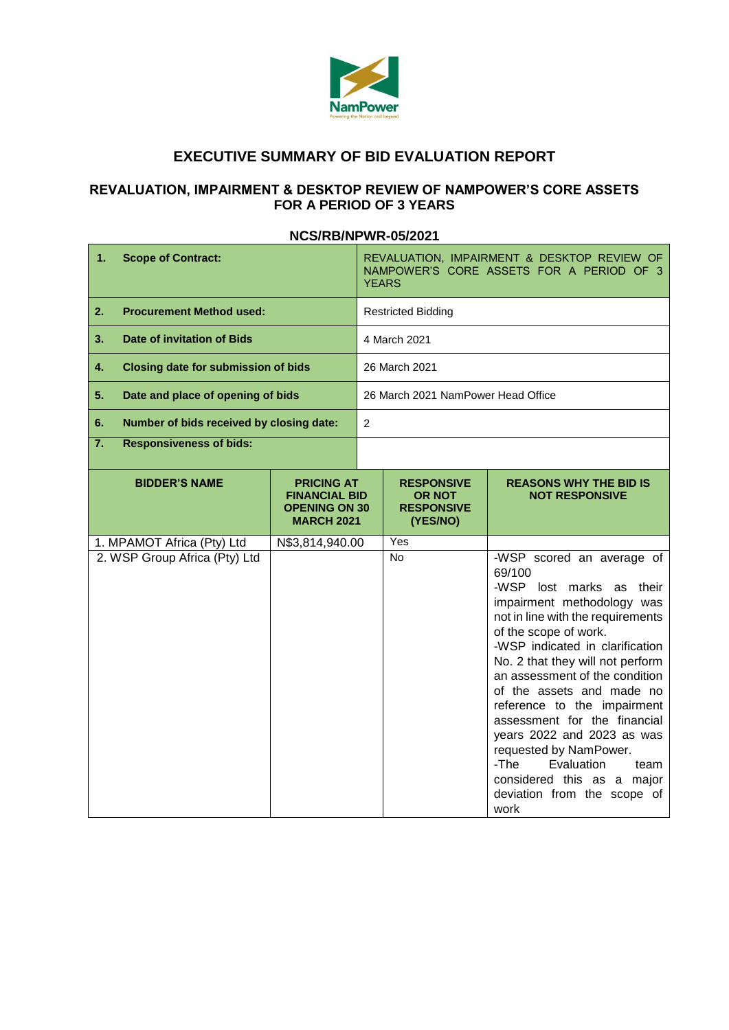

# **EXECUTIVE SUMMARY OF BID EVALUATION REPORT**

## **REVALUATION, IMPAIRMENT & DESKTOP REVIEW OF NAMPOWER'S CORE ASSETS FOR A PERIOD OF 3 YEARS**

#### **NCS/RB/NPWR-05/2021**

| 1.<br><b>Scope of Contract:</b>                  |                                                                                                                |                 | REVALUATION, IMPAIRMENT & DESKTOP REVIEW OF<br>NAMPOWER'S CORE ASSETS FOR A PERIOD OF 3<br><b>YEARS</b> |           |                                                                                                                                                                                                                                                                                                                                                                                                                                                                                                                             |  |  |
|--------------------------------------------------|----------------------------------------------------------------------------------------------------------------|-----------------|---------------------------------------------------------------------------------------------------------|-----------|-----------------------------------------------------------------------------------------------------------------------------------------------------------------------------------------------------------------------------------------------------------------------------------------------------------------------------------------------------------------------------------------------------------------------------------------------------------------------------------------------------------------------------|--|--|
| <b>Procurement Method used:</b><br>2.            |                                                                                                                |                 | <b>Restricted Bidding</b>                                                                               |           |                                                                                                                                                                                                                                                                                                                                                                                                                                                                                                                             |  |  |
| Date of invitation of Bids<br>3.                 |                                                                                                                |                 | 4 March 2021                                                                                            |           |                                                                                                                                                                                                                                                                                                                                                                                                                                                                                                                             |  |  |
| <b>Closing date for submission of bids</b><br>4. |                                                                                                                |                 | 26 March 2021                                                                                           |           |                                                                                                                                                                                                                                                                                                                                                                                                                                                                                                                             |  |  |
| 5.<br>Date and place of opening of bids          |                                                                                                                |                 | 26 March 2021 NamPower Head Office                                                                      |           |                                                                                                                                                                                                                                                                                                                                                                                                                                                                                                                             |  |  |
| Number of bids received by closing date:<br>6.   |                                                                                                                |                 | $\overline{2}$                                                                                          |           |                                                                                                                                                                                                                                                                                                                                                                                                                                                                                                                             |  |  |
| 7.<br><b>Responsiveness of bids:</b>             |                                                                                                                |                 |                                                                                                         |           |                                                                                                                                                                                                                                                                                                                                                                                                                                                                                                                             |  |  |
|                                                  | <b>BIDDER'S NAME</b><br><b>PRICING AT</b><br><b>FINANCIAL BID</b><br><b>OPENING ON 30</b><br><b>MARCH 2021</b> |                 | <b>RESPONSIVE</b><br><b>OR NOT</b><br><b>RESPONSIVE</b><br>(YES/NO)                                     |           | <b>REASONS WHY THE BID IS</b><br><b>NOT RESPONSIVE</b>                                                                                                                                                                                                                                                                                                                                                                                                                                                                      |  |  |
| 1. MPAMOT Africa (Pty) Ltd                       |                                                                                                                | N\$3,814,940.00 |                                                                                                         | Yes       |                                                                                                                                                                                                                                                                                                                                                                                                                                                                                                                             |  |  |
| 2. WSP Group Africa (Pty) Ltd                    |                                                                                                                |                 |                                                                                                         | <b>No</b> | -WSP scored an average of<br>69/100<br>-WSP lost marks as their<br>impairment methodology was<br>not in line with the requirements<br>of the scope of work.<br>-WSP indicated in clarification<br>No. 2 that they will not perform<br>an assessment of the condition<br>of the assets and made no<br>reference to the impairment<br>assessment for the financial<br>years 2022 and 2023 as was<br>requested by NamPower.<br>-The<br>Evaluation<br>team<br>considered this as a major<br>deviation from the scope of<br>work |  |  |